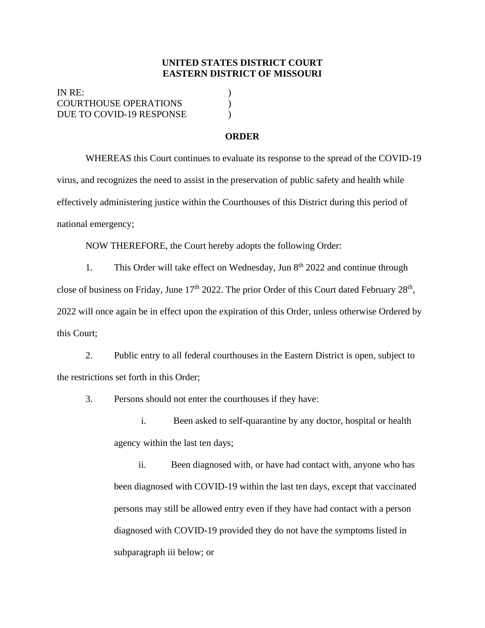## **UNITED STATES DISTRICT COURT EASTERN DISTRICT OF MISSOURI**

IN RE: ) COURTHOUSE OPERATIONS ) DUE TO COVID-19 RESPONSE

## **ORDER**

WHEREAS this Court continues to evaluate its response to the spread of the COVID-19 virus, and recognizes the need to assist in the preservation of public safety and health while effectively administering justice within the Courthouses of this District during this period of national emergency;

NOW THEREFORE, the Court hereby adopts the following Order:

1. This Order will take effect on Wednesday, Jun  $8<sup>th</sup> 2022$  and continue through close of business on Friday, June  $17<sup>th</sup> 2022$ . The prior Order of this Court dated February  $28<sup>th</sup>$ , 2022 will once again be in effect upon the expiration of this Order, unless otherwise Ordered by this Court;

2. Public entry to all federal courthouses in the Eastern District is open, subject to the restrictions set forth in this Order;

3. Persons should not enter the courthouses if they have:

i. Been asked to self-quarantine by any doctor, hospital or health agency within the last ten days;

ii. Been diagnosed with, or have had contact with, anyone who has been diagnosed with COVID-19 within the last ten days, except that vaccinated persons may still be allowed entry even if they have had contact with a person diagnosed with COVID-19 provided they do not have the symptoms listed in subparagraph iii below; or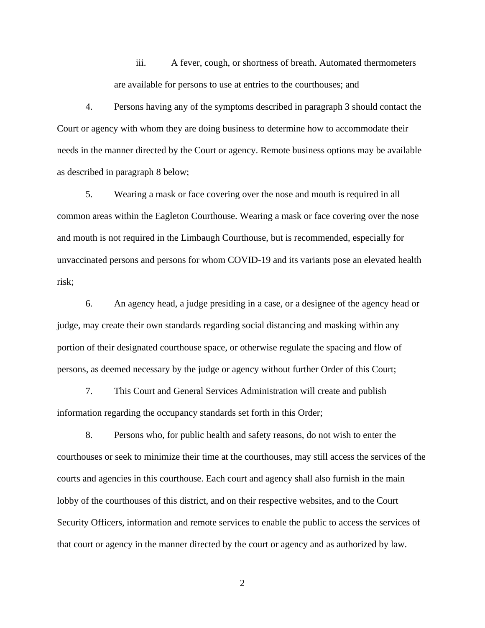iii. A fever, cough, or shortness of breath. Automated thermometers are available for persons to use at entries to the courthouses; and

4. Persons having any of the symptoms described in paragraph 3 should contact the Court or agency with whom they are doing business to determine how to accommodate their needs in the manner directed by the Court or agency. Remote business options may be available as described in paragraph 8 below;

5. Wearing a mask or face covering over the nose and mouth is required in all common areas within the Eagleton Courthouse. Wearing a mask or face covering over the nose and mouth is not required in the Limbaugh Courthouse, but is recommended, especially for unvaccinated persons and persons for whom COVID-19 and its variants pose an elevated health risk;

6. An agency head, a judge presiding in a case, or a designee of the agency head or judge, may create their own standards regarding social distancing and masking within any portion of their designated courthouse space, or otherwise regulate the spacing and flow of persons, as deemed necessary by the judge or agency without further Order of this Court;

7. This Court and General Services Administration will create and publish information regarding the occupancy standards set forth in this Order;

8. Persons who, for public health and safety reasons, do not wish to enter the courthouses or seek to minimize their time at the courthouses, may still access the services of the courts and agencies in this courthouse. Each court and agency shall also furnish in the main lobby of the courthouses of this district, and on their respective websites, and to the Court Security Officers, information and remote services to enable the public to access the services of that court or agency in the manner directed by the court or agency and as authorized by law.

2